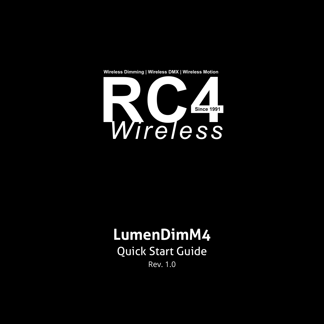**Wireless Dimming | Wireless DMX | Wireless Motion**



# **LumenDimM4**

Quick Start Guide Rev. 1.0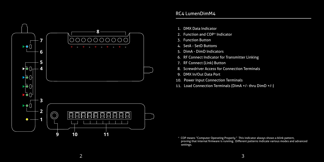

- 1. DMX Data Indicator
- 2. Function and COP\* Indicator
- 3. Function Button
- 4. SetA SetD Buttons
- 5. DimA DimD Indicators
- 6. RF Connect Indicator for Transmitter Linking
- 7. RF Connect (Link) Button
- 8. Screwdriver Access for Connection Terminals
- 9. DMX In/Out Data Port
- 10. Power Input Connection Terminals
- 11. Load Connection Terminals (DimA +/- thru DimD +/-)

 \* COP means "Computer Operating Properly." This indicator always shows a blink pattern, proving that internal firmware is running. Different patterns indicate various modes and advanced settings.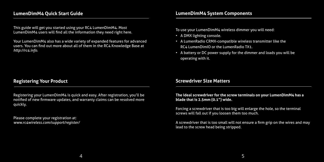# **LumenDimM4 Quick Start Guide**

This guide will get you started using your RC4 LumenDimM4. Most LumenDimM4 users will find all the information they need right here.

Your LumenDimM4 also has a wide variety of expanded features for advanced users. You can find out more about all of them in the RC4 Knowledge Base at *http://rc4.info*.

# **Registering Your Product**

Registering your LumenDimM4 is quick and easy. After registration, you'll be notified of new firmware updates, and warranty claims can be resolved more quickly.

Please complete your registration at: *www.rc4wireless.com/support/register/*

## **LumenDimM4 System Components**

To use your LumenDimM4 wireless dimmer you will need:

- A DMX lighting console.
- A LumenRadio CRMX-compatible wireless transmitter like the RC4 LumenDimIO or the LumenRadio TX1.
- A battery or DC power supply for the dimmer and loads you will be operating with it.

#### **Screwdriver Size Matters**

**The ideal screwdriver for the screw terminals on your LumenDimM4 has a blade that is 2.5mm (0.1") wide.**

Forcing a screwdriver that is too big will enlarge the hole, so the terminal screws will fall out if you loosen them too much.

A screwdriver that is too small will not ensure a firm grip on the wires and may lead to the screw head being stripped.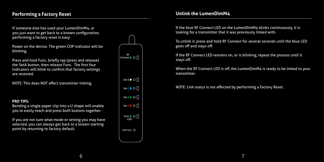# **Performing a Factory Reset**

If someone else has used your LumenDimM4, or you just want to get back to a known configuration, performing a factory reset is easy:

Power on the device. The green COP indicator will be blinking.

Press and hold Func, briefly tap (press and release) the SetA button, then release Func. The first four indicators will blink to confirm that factory settings are restored.

NOTE: This does NOT affect transmitter linking.

#### **PRO TIPS:**

Bending a single paper clip into a U shape will enable you to easily reach and press both buttons together.

If you are not sure what mode or setting you may have selected, you can always get back to a known starting point by returning to factory default.



#### **Unlink the LumenDimM4**

If the blue RF Connect LED on the LumenDimM4 blinks continuously, it is looking for a transmitter that it was previously linked with.

To unlink it, press and hold RF Connect for several seconds until the blue LED goes off and stays off.

If the RF Connect LED remains on, or is blinking, repeat the process until it stays off.

When the RF Connect LED is off, the LumenDimM4 is ready to be linked to your transmitter.

NOTE: Link status is not affected by performing a Factory Reset.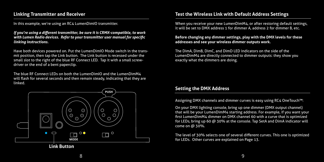# **Linking Transmitter and Receiver**

In this example, we're using an RC4 LumenDimIO transmitter.

*If you're using a different transmitter, be sure it is CRMX-compatible, to work with Lumen Radio devices. Refer to your transmitter user manual for specific linking instructions.*

Have both devices powered on. Put the LumenDimIO Mode switch in the transmit position, then tap the Link button. The Link button is recessed under the small slot to the right of the blue RF Connect LED. Tap it with a small screwdriver or the end of a bent paperclip.

The blue RF Connect LEDs on both the LumenDimIO and the LumenDimM4 will flash for several seconds and then remain steady, indicating that they are linked.



# **Test the Wireless Link with Default Address Settings**

it will be set to DMX address 1 for dimmer A, address 2 for dimmer B, etc. When you receive your new LumenDimM4, or after restoring default settings,

#### **Before changing any dimmer settings, play with the DMX levels for these addresses and see your wireless dimmer outputs work.**

The DimA, DimB, DimC, and DimD LED indicators on the side of the LumenDimM4 are directly connected to dimmer outputs: they show you exactly what the dimmers are doing.

# **Setting the DMX Address**

Assigning DMX channels and dimmer curves is easy using RC4 OneTouch™:

On your DMX lighting console, bring up one dimmer (DMX output channel) that will be your LumenDimM4 starting address. For example, if you want your first LumenDimM4 dimmer on DMX channel 60 with a curve that is optimized for LEDs, bring up 60 @ 30% at the console. Tap SetA and DimA indicator will come on @ 30%.

The level of 30% selects one of several different curves. This one is optimized for LEDs. Other curves are explained on Page 13.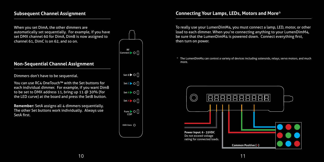#### **Subsequent Channel Assignment**

When you set DimA, the other dimmers are automatically set sequentially. For example, if you have set DMX channel 60 for DimA, DimB is now assigned to channel 61, DimC is on 62, and so on.

# **Non-Sequential Channel Assignment**

Dimmers don't have to be sequential.

You can use RC4 OneTouch™ with the Set buttons for each individual dimmer. For example, if you want DimB to be set to DMX address 11, bring up 11 @ 30% (for the LED curve) at the board and press the SetB button.

**Remember:** SetA assigns all 4 dimmers sequentially. The other Set buttons work individually. Always use SetA first.



## **Connecting Your Lamps, LEDs, Motors and More\***

To really use your LumenDimM4, you must connect a lamp, LED, motor, or other load to each dimmer. When you're connecting anything to your LumenDimM4, be sure that the LumenDimM4 is powered down. Connect everything first, then turn on power.

\* The LumenDimM4 can control a variety of devices including solenoids, relays, servo motors, and much more.

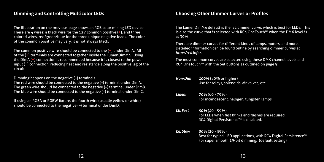The illustration on the previous page shows an RGB color mixing LED device. There are 4 wires: a black wire for the 12V common positive  $(+)$ , and three colored wires, red/green/blue for the three unique negative leads. The color of the common positive may vary, it is not always black.

The common positive wire should be connected to the (+) under DimA. All of the (+) terminals are connected together inside the LumenDimM4. Using the DimA (+) connection is recommended because it is closest to the power input (+) connection, reducing heat and resistance along the positive leg of the circuit.

Dimming happens on the negative (–) terminals.

The red wire should be connected to the negative (–) terminal under DimA. The green wire should be connected to the negative (–) terminal under DimB. The blue wire should be connected to the negative (–) terminal under DimC.

If using an RGBA or RGBW fixture, the fourth wire (usually yellow or white) should be connected to the negative (–) terminal under DimD.

The LumenDimM4 default is the ISL dimmer curve, which is best for LEDs. This is also the curve that is selected with RC4 OneTouch™ when the DMX level is at 30%.

There are dimmer curves for different kinds of lamps, motors, and more. Detailed information can be found online by searching dimmer curves at *http://rc4.info/*.

The most common curves are selected using these DMX channel levels and RC4 OneTouch™ with the Set buttons as outlined on page 9:

| Non-Dim         | 100% (80% or higher)<br>Use for relays, solenoids, air valves, etc.                                                                         |
|-----------------|---------------------------------------------------------------------------------------------------------------------------------------------|
| Linear          | $70\%$ (60 - 79%)<br>For incandescent, halogen, tungsten lamps.                                                                             |
| <b>ISL Fast</b> | $50\%$ (40 - 59%)<br>For LEDs when fast blinks and flashes are required.<br>RC4 Digital Persistence™ is disabled.                           |
| ISL Slow        | $30\%$ (20 - 39%)<br>Best for typical LED applications, with RC4 Digital Persistence™<br>For super smooth 19-bit dimming. (default setting) |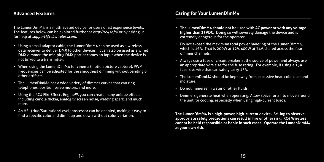### **Advanced Features**

The LumenDimM4 is a multifaceted device for users of all experience levels. The features below can be explored further at *http://rc4.info/* or by asking us for help at *support@rc4wireless.com*:

- Using a small adaptor cable, the LumenDimM4 can be used as a wireless data receiver to deliver DMX to other devices. It can also be used as a wired DMX dimmer: the miniplug DMX port becomes an input when the device is not linked to a transmitter.
- When using the LumenDimM4 for cinema (motion picture capture), PWM frequencies can be adjusted for the smoothest dimming without banding or other artifacts.
- The LumenDimM4 has a wide variety of dimmer curves that can ring telephones, position servo motors, and more.
- Using the RC4 Flkr Effects Engine™, you can create many unique effects including candle flicker, analog tv screen noise, welding spark, and much more.
- An HSL (Hue/Saturation/Level) processor can be enabled, making it easy to find a specific color and dim it up and down without color variation.
- **• The LumenDimM4 should not be used with AC power or with any voltage higher than 35VDC.** Doing so will severely damage the device and is extremely dangerous for the operator.
- Do not exceed the maximum total power handling of the LumenDimM4, which is 16A. That is 200W at 12V, 400W at 24V, shared across the four dimmer channels.
- Always use a fuse or circuit breaker at the source of power and always use an appropriate wire size for the fuse rating. For example, if using a 15A fuse, use wire that can safely carry 15A.
- The LumenDimM4 should be kept away from excessive heat, cold, dust and moisture.
- Do not immerse in water or other fluids.
- Dimmers generate heat when operating. Allow space for air to move around the unit for cooling, especially when using high-current loads.

**The LumenDimM4 is a high-power, high-current device. Failing to observe appropriate safety precautions can result in fire or other risk. RC4 Wireless cannot be held responsible or liable in such cases. Operate the LumenDimM4 at your own risk.**